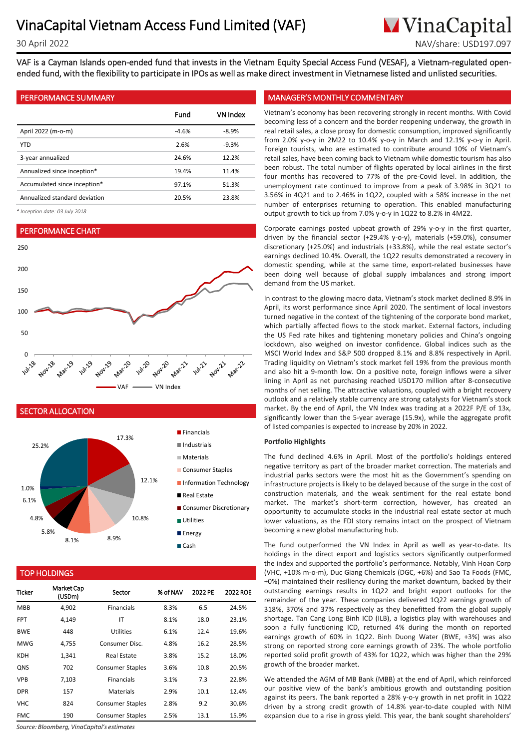**M**VinaCapital 30 April 2022 NAV/share: USD197.097

VAF is a Cayman Islands open-ended fund that invests in the Vietnam Equity Special Access Fund (VESAF), a Vietnam-regulated openended fund, with the flexibility to participate in IPOs as well as make direct investment in Vietnamese listed and unlisted securities.

| Fund    | VN Index |
|---------|----------|
| $-4.6%$ | $-8.9%$  |
| 2.6%    | $-9.3%$  |
| 24.6%   | 12.2%    |
| 19.4%   | 11.4%    |
| 97.1%   | 51.3%    |
| 20.5%   | 23.8%    |
|         |          |

*\* Inception date: 03 July 2018*

#### PERFORMANCE CHART



## SECTOR ALLOCATION



### TOP HOLDINGS

| <b>Ticker</b> | <b>Market Cap</b><br>(USDm) | Sector                  | % of NAV | 2022 PE | 2022 ROE |
|---------------|-----------------------------|-------------------------|----------|---------|----------|
| <b>MBB</b>    | 4,902                       | <b>Financials</b>       | 8.3%     | 6.5     | 24.5%    |
| <b>FPT</b>    | 4,149                       | IT                      | 8.1%     | 18.0    | 23.1%    |
| <b>BWE</b>    | 448                         | <b>Utilities</b>        | 6.1%     | 12.4    | 19.6%    |
| <b>MWG</b>    | 4.755                       | Consumer Disc.          | 4.8%     | 16.2    | 28.5%    |
| <b>KDH</b>    | 1,341                       | Real Estate             | 3.8%     | 15.2    | 18.0%    |
| <b>QNS</b>    | 702                         | <b>Consumer Staples</b> | 3.6%     | 10.8    | 20.5%    |
| <b>VPB</b>    | 7,103                       | <b>Financials</b>       | 3.1%     | 7.3     | 22.8%    |
| <b>DPR</b>    | 157                         | Materials               | 2.9%     | 10.1    | 12.4%    |
| VHC           | 824                         | <b>Consumer Staples</b> | 2.8%     | 9.2     | 30.6%    |
| FMC.          | 190                         | <b>Consumer Staples</b> | 2.5%     | 13.1    | 15.9%    |

*Source: Bloomberg, VinaCapital's estimates*

### PERFORMANCE SUMMARY MANAGER'S MONTHLY COMMENTARY

. becoming less of a concern and the border reopening underway, the growth in Vietnam's economy has been recovering strongly in recent months. With Covid real retail sales, a close proxy for domestic consumption, improved significantly from 2.0% y-o-y in 2M22 to 10.4% y-o-y in March and 12.1% y-o-y in April. Foreign tourists, who are estimated to contribute around 10% of Vietnam's retail sales, have been coming back to Vietnam while domestic tourism has also been robust. The total number of flights operated by local airlines in the first four months has recovered to 77% of the pre-Covid level. In addition, the unemployment rate continued to improve from a peak of 3.98% in 3Q21 to 3.56% in 4Q21 and to 2.46% in 1Q22, coupled with a 58% increase in the net number of enterprises returning to operation. This enabled manufacturing output growth to tick up from 7.0% y-o-y in 1Q22 to 8.2% in 4M22.

Corporate earnings posted upbeat growth of 29% y-o-y in the first quarter, driven by the financial sector (+29.4% y-o-y), materials (+59.0%), consumer discretionary (+25.0%) and industrials (+33.8%), while the real estate sector's earnings declined 10.4%. Overall, the 1Q22 results demonstrated a recovery in domestic spending, while at the same time, export-related businesses have been doing well because of global supply imbalances and strong import demand from the US market.

In contrast to the glowing macro data, Vietnam's stock market declined 8.9% in April, its worst performance since April 2020. The sentiment of local investors turned negative in the context of the tightening of the corporate bond market, which partially affected flows to the stock market. External factors, including the US Fed rate hikes and tightening monetary policies and China's ongoing lockdown, also weighed on investor confidence. Global indices such as the MSCI World Index and S&P 500 dropped 8.1% and 8.8% respectively in April. Trading liquidity on Vietnam's stock market fell 19% from the previous month and also hit a 9-month low. On a positive note, foreign inflows were a silver lining in April as net purchasing reached USD170 million after 8-consecutive months of net selling. The attractive valuations, coupled with a bright recovery outlook and a relatively stable currency are strong catalysts for Vietnam's stock market. By the end of April, the VN Index was trading at a 2022F P/E of 13x, significantly lower than the 5-year average (15.9x), while the aggregate profit of listed companies is expected to increase by 20% in 2022.

#### **Portfolio Highlights**

The fund declined 4.6% in April. Most of the portfolio's holdings entered negative territory as part of the broader market correction. The materials and industrial parks sectors were the most hit as the Government's spending on infrastructure projects is likely to be delayed because of the surge in the cost of construction materials, and the weak sentiment for the real estate bond market. The market's short-term correction, however, has created an opportunity to accumulate stocks in the industrial real estate sector at much lower valuations, as the FDI story remains intact on the prospect of Vietnam becoming a new global manufacturing hub.

The fund outperformed the VN Index in April as well as year-to-date. Its holdings in the direct export and logistics sectors significantly outperformed the index and supported the portfolio's performance. Notably, Vinh Hoan Corp (VHC, +10% m-o-m), Duc Giang Chemicals (DGC, +6%) and Sao Ta Foods (FMC, +0%) maintained their resiliency during the market downturn, backed by their outstanding earnings results in 1Q22 and bright export outlooks for the remainder of the year. These companies delivered 1Q22 earnings growth of 318%, 370% and 37% respectively as they benefitted from the global supply shortage. Tan Cang Long Binh ICD (ILB), a logistics play with warehouses and soon a fully functioning ICD, returned 4% during the month on reported earnings growth of 60% in 1Q22. Binh Duong Water (BWE, +3%) was also strong on reported strong core earnings growth of 23%. The whole portfolio reported solid profit growth of 43% for 1Q22, which was higher than the 29% growth of the broader market.

We attended the AGM of MB Bank (MBB) at the end of April, which reinforced our positive view of the bank's ambitious growth and outstanding position against its peers. The bank reported a 28% y-o-y growth in net profit in 1Q22 driven by a strong credit growth of 14.8% year-to-date coupled with NIM expansion due to a rise in gross yield. This year, the bank sought shareholders'